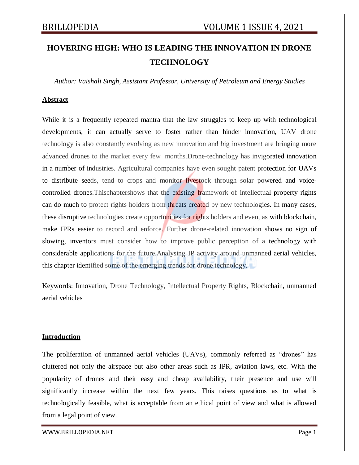# **HOVERING HIGH: WHO IS LEADING THE INNOVATION IN DRONE TECHNOLOGY**

*Author: Vaishali Singh, Assistant Professor, University of Petroleum and Energy Studies*

## **Abstract**

While it is a frequently repeated mantra that the law struggles to keep up with technological developments, it can actually serve to foster rather than hinder innovation, UAV drone technology is also constantly evolving as new innovation and big investment are bringing more advanced drones to the market every few months.Drone-technology has invigorated innovation in a number of industries. Agricultural companies have even sought patent protection for UAVs to distribute seeds, tend to crops and monitor livestock through solar powered and voicecontrolled drones. This chaptershows that the existing framework of intellectual property rights can do much to protect rights holders from threats created by new technologies. In many cases, these disruptive technologies create opportunities for rights holders and even, as with blockchain, make IPRs easier to record and enforce. Further drone-related innovation shows no sign of slowing, inventors must consider how to improve public perception of a technology with considerable applications for the future.Analysing IP activity around unmanned aerial vehicles, this chapter identified some of the emerging trends for drone technology.

Keywords: Innovation, Drone Technology, Intellectual Property Rights, Blockchain, unmanned aerial vehicles

## **Introduction**

The proliferation of unmanned aerial vehicles (UAVs), commonly referred as "drones" has cluttered not only the airspace but also other areas such as IPR, aviation laws, etc. With the popularity of drones and their easy and cheap availability, their presence and use will significantly increase within the next few years. This raises questions as to what is technologically feasible, what is acceptable from an ethical point of view and what is allowed from a legal point of view.

[WWW.BRILLOPEDIA.NET](http://www.brillopedia.net/) et al. et al. et al. et al. et al. et al. et al. et al. et al. et al. et al. et al. et al. et al. et al. et al. et al. et al. et al. et al. et al. et al. et al. et al. et al. et al. et al. et al. et al.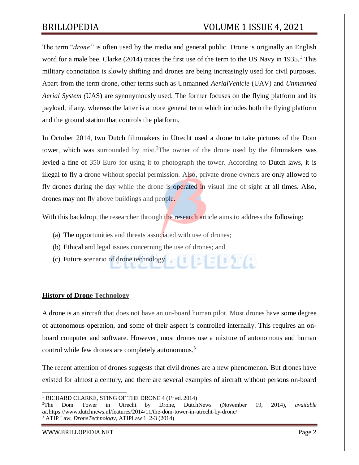# BRILLOPEDIA VOLUME 1 ISSUE 4, 2021

The term "*drone"* is often used by the media and general public. Drone is originally an English word for a male bee. Clarke  $(2014)$  traces the first use of the term to the US Navy in 1935.<sup>1</sup> This military connotation is slowly shifting and drones are being increasingly used for civil purposes. Apart from the term drone, other terms such as Unmanned *AerialVehicle* (UAV) and *Unmanned Aerial System (*UAS) are synonymously used. The former focuses on the flying platform and its payload, if any, whereas the latter is a more general term which includes both the flying platform and the ground station that controls the platform.

In October 2014, two Dutch filmmakers in Utrecht used a drone to take pictures of the Dom tower, which was surrounded by mist.<sup>2</sup>The owner of the drone used by the filmmakers was levied a fine of 350 Euro for using it to photograph the tower. According to Dutch laws, it is illegal to fly a drone without special permission. Also, private drone owners are only allowed to fly drones during the day while the drone is operated in visual line of sight at all times. Also, drones may not fly above buildings and people.

With this backdrop, the researcher through the research article aims to address the following:

- (a) The opportunities and threats associated with use of drones;
- (b) Ethical and legal issues concerning the use of drones; and
- (c) Future scenario of drone technology.

## **History of Drone Technology**

A drone is an aircraft that does not have an on-board human pilot. Most drones have some degree of autonomous operation, and some of their aspect is controlled internally. This requires an onboard computer and software. However, most drones use a mixture of autonomous and human control while few drones are completely autonomous.<sup>3</sup>

The recent attention of drones suggests that civil drones are a new phenomenon. But drones have existed for almost a century, and there are several examples of aircraft without persons on-board

[WWW.BRILLOPEDIA.NET](http://www.brillopedia.net/) Page 2

<sup>&</sup>lt;sup>1</sup> RICHARD CLARKE, STING OF THE DRONE 4 (1<sup>st</sup> ed. 2014)

<sup>2</sup>The Dom Tower in Utrecht by Drone, DutchNews (November 19, 2014), *available at:*https:/[/www.dutchnews.nl/features/2014/11/the-dom-tower-in-utrecht-by-drone/](http://www.dutchnews.nl/features/2014/11/the-dom-tower-in-utrecht-by-drone/) <sup>3</sup> ATIP Law, *DroneTechnology,* ATIPLaw 1, 2-3 (2014)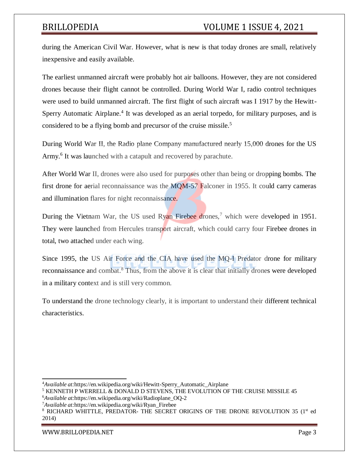during the American Civil War. However, what is new is that today drones are small, relatively inexpensive and easily available.

The earliest unmanned aircraft were probably hot air balloons. However, they are not considered drones because their flight cannot be controlled. During World War I, radio control techniques were used to build unmanned aircraft. The first flight of such aircraft was I 1917 by the Hewitt-Sperry Automatic Airplane.<sup>4</sup> It was developed as an aerial torpedo, for military purposes, and is considered to be a flying bomb and precursor of the cruise missile.<sup>5</sup>

During World War II, the Radio plane Company manufactured nearly 15,000 drones for the US Army.<sup>6</sup> It was launched with a catapult and recovered by parachute.

After World War II, drones were also used for purposes other than being or dropping bombs. The first drone for aerial reconnaissance was the  $MQM-57$  Falconer in 1955. It could carry cameras and illumination flares for night reconnaissance.

During the Vietnam War, the US used Ryan Firebee drones,<sup>7</sup> which were developed in 1951. They were launched from Hercules transport aircraft, which could carry four Firebee drones in total, two attached under each wing.

Since 1995, the US Air Force and the CIA have used the MQ-I Predator drone for military reconnaissance and combat.<sup>8</sup> Thus, from the above it is clear that initially drones were developed in a military context and is still very common.

To understand the drone technology clearly, it is important to understand their different technical characteristics.

[WWW.BRILLOPEDIA.NET](http://www.brillopedia.net/)

<sup>4</sup>*Available at:*https://en.wikipedia.org/wiki/Hewitt-Sperry\_Automatic\_Airplane

<sup>5</sup> KENNETH P WERRELL & DONALD D STEVENS, THE EVOLUTION OF THE CRUISE MISSILE 45 <sup>6</sup>*Available at:*https://en.wikipedia.org/wiki/Radioplane\_OQ-2

<sup>7</sup>*Available at:*https://en.wikipedia.org/wiki/Ryan\_Firebee

 $8$  RICHARD WHITTLE, PREDATOR- THE SECRET ORIGINS OF THE DRONE REVOLUTION 35 ( $1<sup>st</sup>$  ed 2014)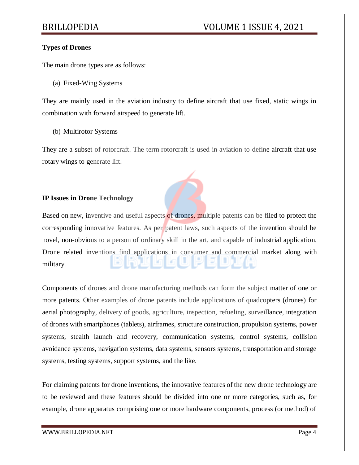## **Types of Drones**

The main drone types are as follows:

(a) Fixed-Wing Systems

They are mainly used in the aviation industry to define aircraft that use fixed, static wings in combination with forward airspeed to generate lift.

(b) Multirotor Systems

They are a subset of rotorcraft. The term rotorcraft is used in aviation to define aircraft that use rotary wings to generate lift.

## **IP Issues in Drone Technology**

Based on new, inventive and useful aspects of drones, multiple patents can be filed to protect the corresponding innovative features. As per patent laws, such aspects of the invention should be novel, non-obvious to a person of ordinary skill in the art, and capable of industrial application. Drone related inventions find applications in consumer and commercial market along with military.

Components of drones and drone manufacturing methods can form the subject matter of one or more patents. Other examples of drone patents include applications of quadcopters (drones) for aerial photography, delivery of goods, agriculture, inspection, refueling, surveillance, integration of drones with smartphones (tablets), airframes, structure construction, propulsion systems, power systems, stealth launch and recovery, communication systems, control systems, collision avoidance systems, navigation systems, data systems, sensors systems, transportation and storage systems, testing systems, support systems, and the like.

For claiming patents for drone inventions, the innovative features of the new drone technology are to be reviewed and these features should be divided into one or more categories, such as, for example, drone apparatus comprising one or more hardware components, process (or method) of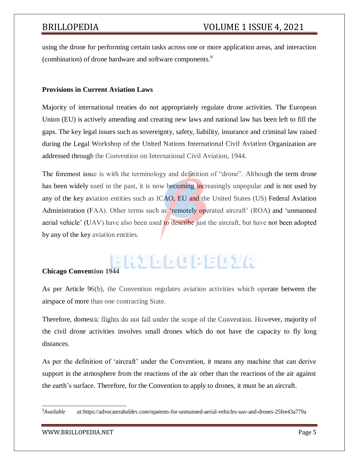using the drone for performing certain tasks across one or more application areas, and interaction (combination) of drone hardware and software components.<sup>9</sup>

## **Provisions in Current Aviation Laws**

Majority of international treaties do not appropriately regulate drone activities. The European Union (EU) is actively amending and creating new laws and national law has been left to fill the gaps. The key legal issues such as sovereignty, safety, liability, insurance and criminal law raised during the Legal Workshop of the United Nations International Civil Aviation Organization are addressed through the Convention on International Civil Aviation, 1944.

The foremost issue is with the terminology and definition of "drone". Although the term drone has been widely used in the past, it is now becoming increasingly unpopular and is not used by any of the key aviation entities such as ICAO, EU and the United States (US) Federal Aviation Administration (FAA). Other terms such as 'remotely operated aircraft' (ROA) and 'unmanned aerial vehicle' (UAV) have also been used to describe just the aircraft, but have not been adopted by any of the key aviation entities.

# **Chicago Convention 1944**

As per Article 96(b), the Convention regulates aviation activities which operate between the airspace of more than one contracting State.

Therefore, domestic flights do not fall under the scope of the Convention. However, majority of the civil drone activities involves small drones which do not have the capacity to fly long distances.

As per the definition of 'aircraft' under the Convention, it means any machine that can derive support in the atmosphere from the reactions of the air other than the reactions of the air against the earth's surface. Therefore, for the Convention to apply to drones, it must be an aircraft.

<sup>9</sup>*Available at:*https://advocaterahuldev.com/npatents-for-unmanned-aerial-vehicles-uav-and-drones-25fee43a779a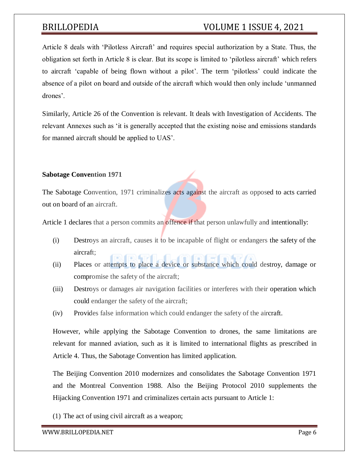# BRILLOPEDIA VOLUME 1 ISSUE 4, 2021

Article 8 deals with 'Pilotless Aircraft' and requires special authorization by a State. Thus, the obligation set forth in Article 8 is clear. But its scope is limited to 'pilotless aircraft' which refers to aircraft 'capable of being flown without a pilot'. The term 'pilotless' could indicate the absence of a pilot on board and outside of the aircraft which would then only include 'unmanned drones'.

Similarly, Article 26 of the Convention is relevant. It deals with Investigation of Accidents. The relevant Annexes such as 'it is generally accepted that the existing noise and emissions standards for manned aircraft should be applied to UAS'.

## **Sabotage Convention 1971**

The Sabotage Convention, 1971 criminalizes acts against the aircraft as opposed to acts carried out on board of an aircraft.

Article 1 declares that a person commits an offence if that person unlawfully and intentionally:

- (i) Destroys an aircraft, causes it to be incapable of flight or endangers the safety of the aircraft; n) (n) **(**n)
- (ii) Places or attempts to place a device or substance which could destroy, damage or compromise the safety of the aircraft;
- (iii) Destroys or damages air navigation facilities or interferes with their operation which could endanger the safety of the aircraft;
- (iv) Provides false information which could endanger the safety of the aircraft.

However, while applying the Sabotage Convention to drones, the same limitations are relevant for manned aviation, such as it is limited to international flights as prescribed in Article 4. Thus, the Sabotage Convention has limited application.

The Beijing Convention 2010 modernizes and consolidates the Sabotage Convention 1971 and the Montreal Convention 1988. Also the Beijing Protocol 2010 supplements the Hijacking Convention 1971 and criminalizes certain acts pursuant to Article 1:

(1) The act of using civil aircraft as a weapon;

[WWW.BRILLOPEDIA.NET](http://www.brillopedia.net/) et al. and the state of the state of the state of the state of the state of the state of the state of the state of the state of the state of the state of the state of the state of the state of the state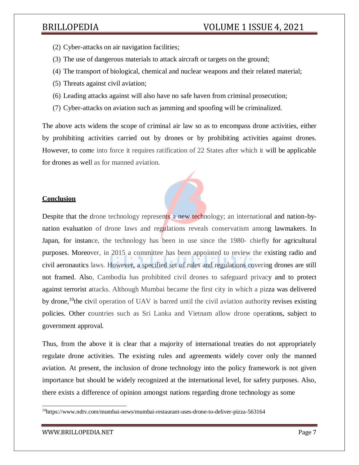- (2) Cyber-attacks on air navigation facilities;
- (3) The use of dangerous materials to attack aircraft or targets on the ground;
- (4) The transport of biological, chemical and nuclear weapons and their related material;
- (5) Threats against civil aviation;
- (6) Leading attacks against will also have no safe haven from criminal prosecution;
- (7) Cyber-attacks on aviation such as jamming and spoofing will be criminalized.

The above acts widens the scope of criminal air law so as to encompass drone activities, either by prohibiting activities carried out by drones or by prohibiting activities against drones. However, to come into force it requires ratification of 22 States after which it will be applicable for drones as well as for manned aviation.

## **Conclusion**

Despite that the drone technology represents a new technology; an international and nation-bynation evaluation of drone laws and regulations reveals conservatism among lawmakers. In Japan, for instance, the technology has been in use since the 1980- chiefly for agricultural purposes. Moreover, in 2015 a committee has been appointed to review the existing radio and civil aeronautics laws. However, a specified set of rules and regulations covering drones are still not framed. Also, Cambodia has prohibited civil drones to safeguard privacy and to protect against terrorist attacks. Although Mumbai became the first city in which a pizza was delivered by drone,<sup>10</sup>the civil operation of UAV is barred until the civil aviation authority revises existing policies. Other countries such as Sri Lanka and Vietnam allow drone operations, subject to government approval.

Thus, from the above it is clear that a majority of international treaties do not appropriately regulate drone activities. The existing rules and agreements widely cover only the manned aviation. At present, the inclusion of drone technology into the policy framework is not given importance but should be widely recognized at the international level, for safety purposes. Also, there exists a difference of opinion amongst nations regarding drone technology as some

<sup>10</sup>https:/[/www.ndtv.com/mumbai-news/mumbai-restaurant-uses-drone-to-deliver-pizza-563164](http://www.ndtv.com/mumbai-news/mumbai-restaurant-uses-drone-to-deliver-pizza-563164)